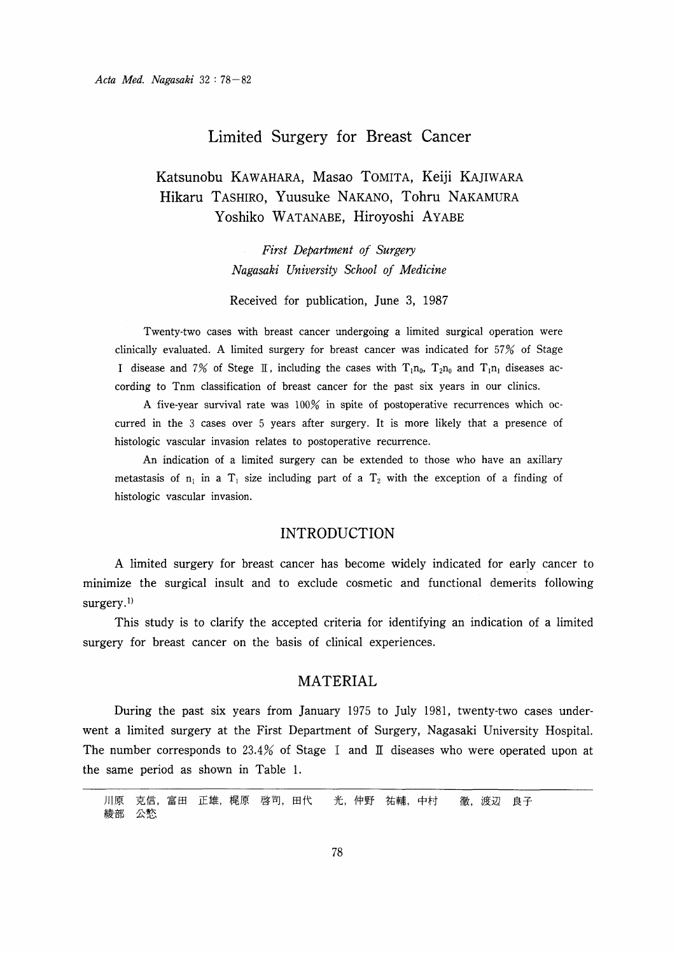## Limited Surgery for Breast Cancer

# Katsunobu KAWAHARA, Masao TOMITA, Keiji KAJIWARA Hikaru TASHIRO, Yuusuke NAKANO, Tohru NAKAMURA Yoshiko WATANABE, Hiroyoshi AYABE

First Department of Surgery Nagasaki University School of Medicine

Received for publication, June 3, 1987

Twenty-two cases with breast cancer undergoing a limited surgical operation were clinically evaluated. A limited surgery for breast cancer was indicated for 57% of Stage I disease and 7% of Stege II, including the cases with  $T_1n_0$ ,  $T_2n_0$  and  $T_1n_1$  diseases according to Tnm classification of breast cancer for the past six years in our clinics.

A five-year survival rate was 100% in spite of postoperative recurrences which occurred in the 3 cases over 5 years after surgery. It is more likely that a presence of histologic vascular invasion relates to postoperative recurrence.

An indication of a limited surgery can be extended to those who have an axillary metastasis of  $n_1$  in a  $T_1$  size including part of a  $T_2$  with the exception of a finding of histologic vascular invasion.

### INTRODUCTION

A limited surgery for breast cancer has become widely indicated for early cancer to minimize the surgical insult and to exclude cosmetic and functional demerits following surgery.<sup>1)</sup>

 This study is to clarify the accepted criteria for identifying an indication of a limited surgery for breast cancer on the basis of clinical experiences.

### MATERIAL

During the past six years from January 1975 to July 1981, twenty-two cases underwent a limited surgery at the First Department of Surgery, Nagasaki University Hospital. The number corresponds to 23.4% of Stage I and II diseases who were operated upon at the same period as shown in Table 1.

川原 克信,富田 正雄,梶原 啓司,田代 光,仲野 祐輔,中村 徹,渡辺 良子 綾部 公愁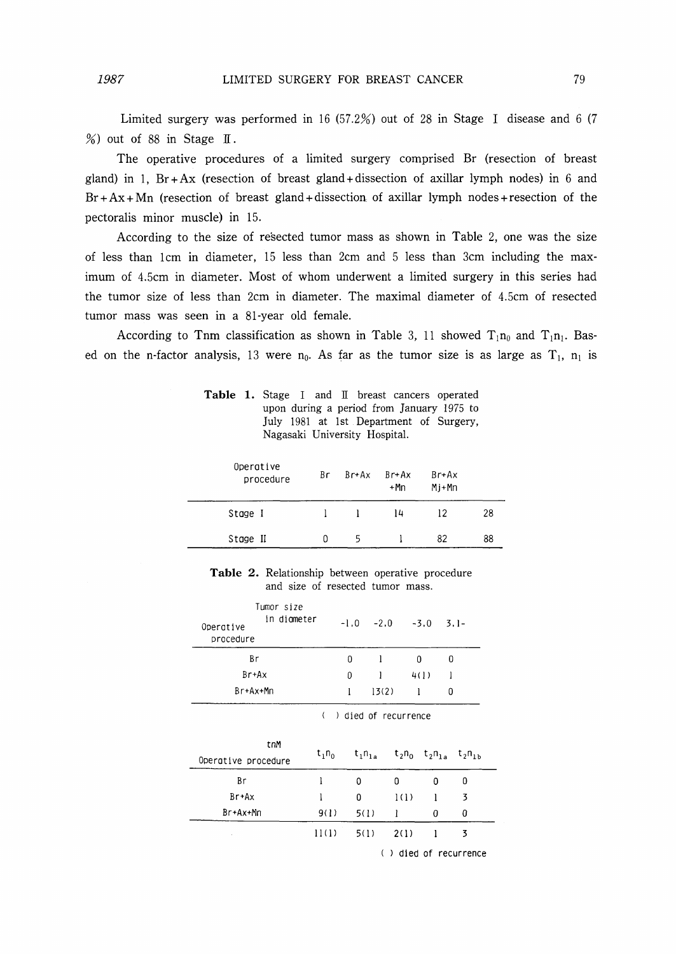Limited surgery was performed in 16 (57.2%) out of 28 in Stage I disease and 6 (7  $%$ ) out of 88 in Stage II.

The operative procedures of a limited surgery comprised Br (resection of breast gland) in 1.  $Br + Ax$  (resection of breast gland + dissection of axillar lymph nodes) in 6 and  $Br + Ax + Mn$  (resection of breast gland+dissection of axillar lymph nodes+resection of the pectoralis minor muscle) in 15.

According to the size of resected tumor mass as shown in Table 2, one was the size of less than 1 cm in diameter,  $15$  less than  $2$ cm and  $5$  less than  $3$ cm including the maximum of 4.5crn in diameter. Most of whom underwent a limited surgery in this series had the tumor size of less than 2cm in diameter. The maximal diameter of 4.5cm of resected tumor mass was seen in a 81-year old female.

According to Tnm classification as shown in Table 3, 11 showed  $T_1n_0$  and  $T_1n_1$ . Based on the n-factor analysis, 13 were  $n_0$ . As far as the tumor size is as large as  $T_1$ ,  $n_1$  is

Table 1. Stage I and  $\text{I\!I}$  breast cancers operated upon during a period from January 1975 to July 1981 at Ist Department of Surgery, Nagasaki University Hospital.

| Operative<br>procedure | Br | Br+Ax | $Br+Ax$<br>$+Mn$ | $Br+Ax$<br>$Mj+Mn$ |    |
|------------------------|----|-------|------------------|--------------------|----|
| Stage I                |    |       | 14               | 12                 | 28 |
| Stage II               | o  | 5     |                  | 82                 | 88 |
|                        |    |       |                  |                    |    |

Table 2. Relationship between operative procedure and size of resected tumor mass.

| Tumor size<br>in diameter<br>Operative<br>procedure |   | $-1.0$ $-2.0$ $-3.0$ $3.1$ |      |   |  |
|-----------------------------------------------------|---|----------------------------|------|---|--|
| Βr                                                  | 0 |                            | 0    | O |  |
| Br+Ax                                               | N |                            | 4(1) |   |  |
| Br+Ax+Mn                                            | п | 13(2)                      |      | O |  |

|                            | ) died of recurrence |             |      |                                                                  |   |  |
|----------------------------|----------------------|-------------|------|------------------------------------------------------------------|---|--|
| tnM<br>Operative procedure | $t_1n_0$             | $t_1n_{1a}$ |      | $t_2$ n <sub>0</sub> $t_2$ n <sub>1a</sub> $t_2$ n <sub>1b</sub> |   |  |
| Βr                         |                      | 0           | 0    | 0                                                                | 0 |  |
| $Br+Ax$                    |                      | 0           | 1(1) | l                                                                | 3 |  |
| Br+Ax+Mn                   | 9(1)                 | 5(1)        |      | 0                                                                | 0 |  |
|                            | 11(1)                | 5(1)        | 2(1) |                                                                  | 3 |  |

( ) died of recurrence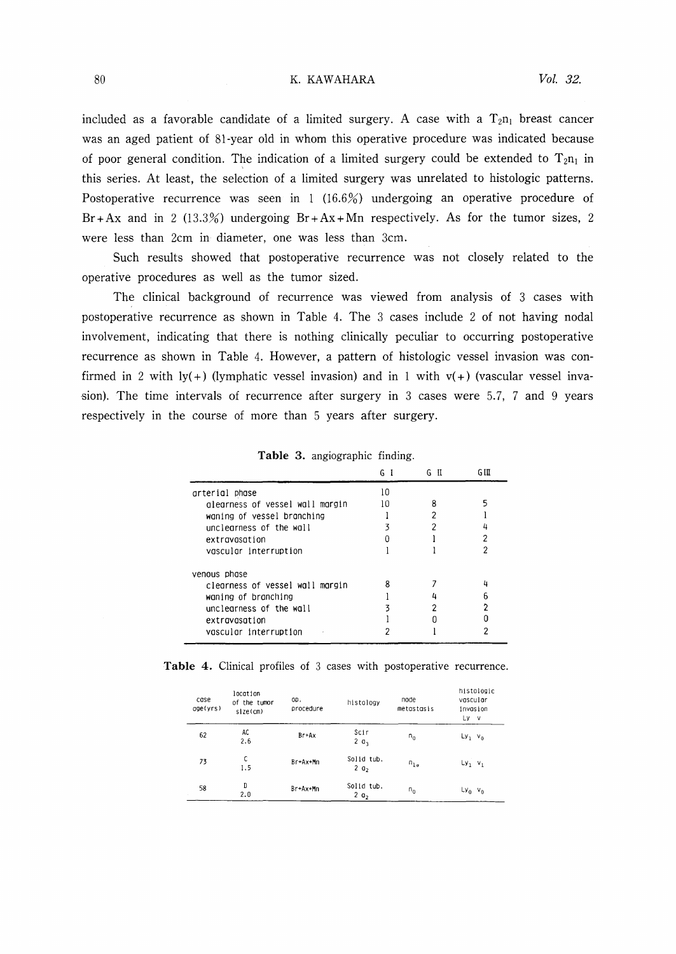#### K. KAWAHARA

included as a favorable candidate of a limited surgery. A case with a  $T_2n_1$  breast cancer was an aged patient of 81-year old in whom this operative procedure was indicated because of poor general condition. The indication of a limited surgery could be extended to  $T_{2n_1}$  in this series. At least, the selection of a limited surgery was unrelated to histologic patterns. Postoperative recurrence was seen in  $1 \left( 16.6\% \right)$  undergoing an operative procedure of  $Br+Ax$  and in 2 (13.3%) undergoing  $Br+Ax+Mn$  respectively. As for the tumor sizes, 2 were less than 2cm in diameter, one was less than 3cm.

Such results showed that postoperative recurrence was not closely related to the operative procedures as well as the tumor sized.

The clinical background of recurrence was viewed from analysis of 3 cases with postoperative recurrence as shown in Table 4. The 3 cases include 2 of not having nodal involvement, indicating that there is nothing clinically peculiar to occurring postoperative recurrence as shown in Table 4. However, a pattern of histologic vessel invasion was confirmed in 2 with  $\text{lv}(+)$  (lymphatic vessel invasion) and in 1 with  $\text{vl}(+)$  (vascular vessel invasion). The time intervals of recurrence after surgery in 3 cases were 5.7, 7 and 9 years respectively in the course of more than 5 years after surgery.

|                                 | GІ | G II | G III |
|---------------------------------|----|------|-------|
| arterial phase                  | 10 |      |       |
| alearness of vessel wall margin | ۱n |      |       |
| waning of vessel branching      |    |      |       |
| unclearness of the wall         |    |      |       |
| extravasation                   |    |      | ာ     |
| vascular interruption           |    |      |       |
| venous phase                    |    |      |       |
| clearness of vessel wall margin |    |      |       |
| waning of branching             |    |      |       |
| unclearness of the wall         |    |      |       |
| extravasation                   |    |      |       |
| vascular interruption           |    |      |       |

|  | Table 3. angiographic finding. |  |
|--|--------------------------------|--|
|  |                                |  |

|  |  |  |  |  |  |  |  | <b>Table 4.</b> Clinical profiles of 3 cases with postoperative recurrence. |  |
|--|--|--|--|--|--|--|--|-----------------------------------------------------------------------------|--|
|--|--|--|--|--|--|--|--|-----------------------------------------------------------------------------|--|

| case<br>gge(yrs) | location<br>of the tumor<br>$size$ ( $cm$ ) | OD.<br>procedure | histology                  | node<br>metastasis | histologic<br>vascular<br>invasion<br>Ly v |
|------------------|---------------------------------------------|------------------|----------------------------|--------------------|--------------------------------------------|
| 62               | AC<br>2.6                                   | Br+Ax            | Scir<br>$2 \theta_3$       | $n_{0}$            | $Ly_1$ $v_0$                               |
| 73               | C<br>1.5                                    | Br+Ax+Mn         | Solid tub.<br>$2 \theta_2$ | $n_{1a}$           | $Ly_1$ $v_1$                               |
| 58               | D<br>2.0                                    | Br+Ax+Mn         | Solid tub.<br>$2\,0_2$     | $n_{0}$            | $Ly_0$ $v_0$                               |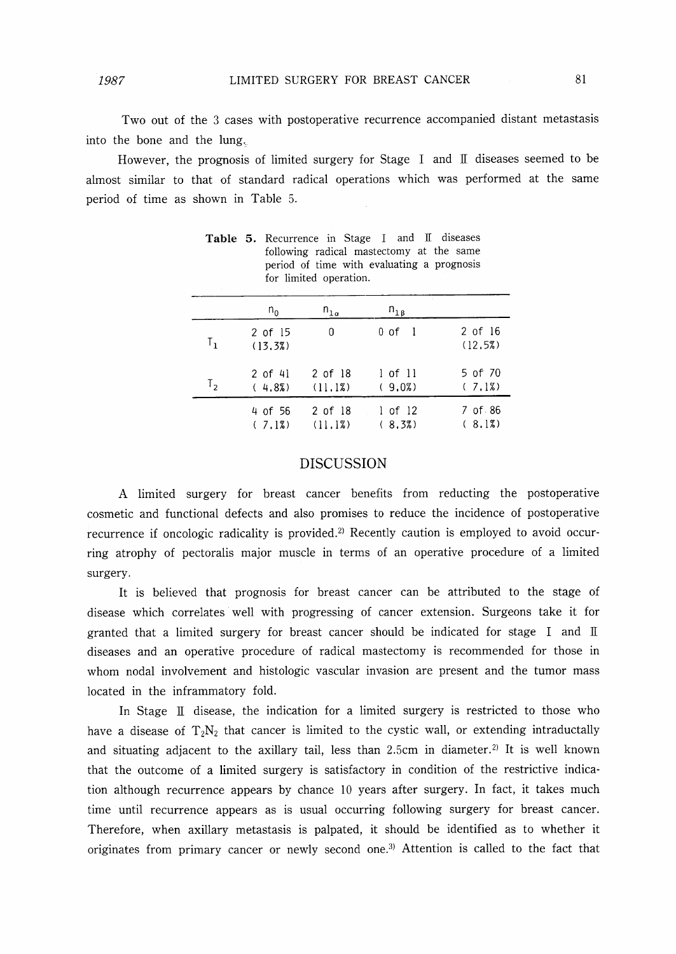Two out of the 3 cases with postoperative recurrence accompanied distant metastasis into the bone and the lung,

However, the prognosis of limited surgery for Stage I and  $\mathbb I$  diseases seemed to be almost similar to that of standard radical operations which was performed at the same period of time as shown in Table 5.

|         | $n_{0}$            | $n_{1a}$           | $n_{1\beta}$          |                    |
|---------|--------------------|--------------------|-----------------------|--------------------|
| $T_{1}$ | 2 of 15<br>(13.3%) | 0                  | 0 of 1                | 2 of 16<br>(12.5%) |
| $T_{2}$ | 2 of 41<br>(4.8%)  | 2 of 18<br>(11.1%) | $1$ of $11$<br>(9.02) | 5 of 70<br>(7.18)  |
|         | 4 of 56<br>(7.12)  | 2 of 18<br>(11.1%) | $1$ of $12$<br>(8.37) | 7 of 86<br>(8.12)  |

Table 5. Recurrence in Stage I and II diseases following radical mastectomy at the same period of time with evaluating prognosis for limited operation.

### DISCUSSION

A Iimited surgery for breast cancer benefits frorn reducting the postoperative cosmetic and functional defects and also prornises to reduce the incidence of postoperative recurrence if oncologic radicality is provided.<sup>2)</sup> Recently caution is employed to avoid occurring atrophy of pectoralis major muscle in terms of an operative procedure of a limited surgery.

It is believed that prognosis for breast cancer can be attributed to the stage of disease which correlates well with progressing of cancer extension. Surgeons take it for granted that a limited surgery for breast cancer should be indicated for stage  $\;$  I and  $\;$  II diseases and an operative procedure of radical mastectorny is recornmended for those in whom nodal involvement and histologic vascular invasion are present and the tumor mass 10cated in the inframmatory fold.

In Stage  $\rm{II}$  disease, the indication for a limited surgery is restricted to those who have a disease of  $T_2N_2$  that cancer is limited to the cystic wall, or extending intraductally and situating adjacent to the axillary tail, less than 2.5cm in diameter.<sup>2)</sup> It is well known that the outcome of a limited surgery is satisfactory in condition of the restrictive indication although recurrence appears by chance 10 years after surgery. In fact, it takes much time until recurrence appears as is usual occurring following surgery for breast cancer. Therefore, when axillary metastasis is palpated, it should be identified as to whether it originates from primary cancer or newly second one.3) Attention is called to the fact that